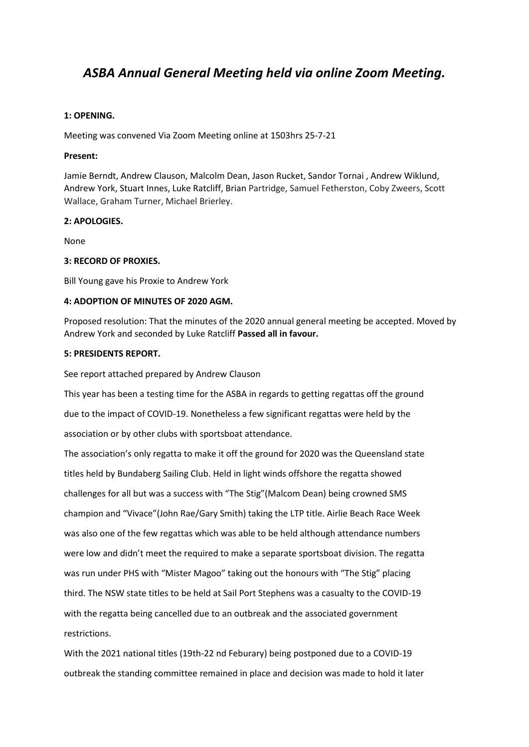# *ASBA Annual General Meeting held via online Zoom Meeting.*

# **1: OPENING.**

Meeting was convened Via Zoom Meeting online at 1503hrs 25-7-21

### **Present:**

Jamie Berndt, Andrew Clauson, Malcolm Dean, Jason Rucket, Sandor Tornai , Andrew Wiklund, Andrew York, Stuart Innes, Luke Ratcliff, Brian Partridge, Samuel Fetherston, Coby Zweers, Scott Wallace, Graham Turner, Michael Brierley.

### **2: APOLOGIES.**

None

# **3: RECORD OF PROXIES.**

Bill Young gave his Proxie to Andrew York

# **4: ADOPTION OF MINUTES OF 2020 AGM.**

Proposed resolution: That the minutes of the 2020 annual general meeting be accepted. Moved by Andrew York and seconded by Luke Ratcliff **Passed all in favour.**

# **5: PRESIDENTS REPORT.**

See report attached prepared by Andrew Clauson

This year has been a testing time for the ASBA in regards to getting regattas off the ground due to the impact of COVID-19. Nonetheless a few significant regattas were held by the association or by other clubs with sportsboat attendance.

The association's only regatta to make it off the ground for 2020 was the Queensland state titles held by Bundaberg Sailing Club. Held in light winds offshore the regatta showed challenges for all but was a success with "The Stig"(Malcom Dean) being crowned SMS champion and "Vivace"(John Rae/Gary Smith) taking the LTP title. Airlie Beach Race Week was also one of the few regattas which was able to be held although attendance numbers were low and didn't meet the required to make a separate sportsboat division. The regatta was run under PHS with "Mister Magoo" taking out the honours with "The Stig" placing third. The NSW state titles to be held at Sail Port Stephens was a casualty to the COVID-19 with the regatta being cancelled due to an outbreak and the associated government restrictions.

With the 2021 national titles (19th-22 nd Feburary) being postponed due to a COVID-19 outbreak the standing committee remained in place and decision was made to hold it later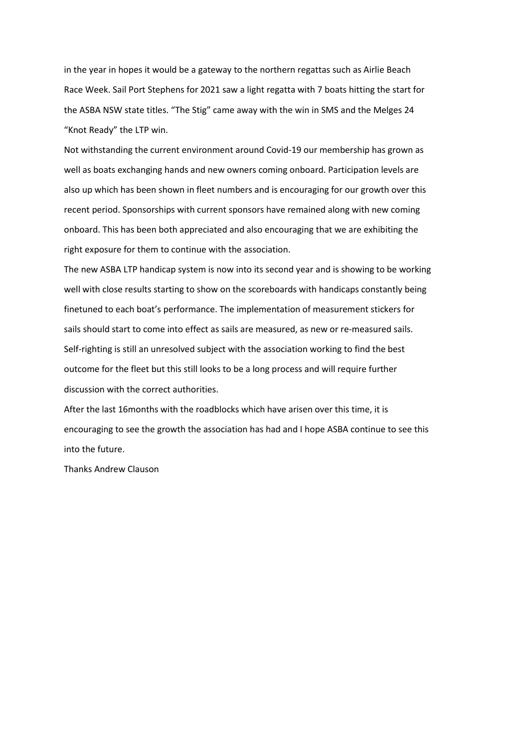in the year in hopes it would be a gateway to the northern regattas such as Airlie Beach Race Week. Sail Port Stephens for 2021 saw a light regatta with 7 boats hitting the start for the ASBA NSW state titles. "The Stig" came away with the win in SMS and the Melges 24 "Knot Ready" the LTP win.

Not withstanding the current environment around Covid-19 our membership has grown as well as boats exchanging hands and new owners coming onboard. Participation levels are also up which has been shown in fleet numbers and is encouraging for our growth over this recent period. Sponsorships with current sponsors have remained along with new coming onboard. This has been both appreciated and also encouraging that we are exhibiting the right exposure for them to continue with the association.

The new ASBA LTP handicap system is now into its second year and is showing to be working well with close results starting to show on the scoreboards with handicaps constantly being finetuned to each boat's performance. The implementation of measurement stickers for sails should start to come into effect as sails are measured, as new or re-measured sails. Self-righting is still an unresolved subject with the association working to find the best outcome for the fleet but this still looks to be a long process and will require further discussion with the correct authorities.

After the last 16months with the roadblocks which have arisen over this time, it is encouraging to see the growth the association has had and I hope ASBA continue to see this into the future.

Thanks Andrew Clauson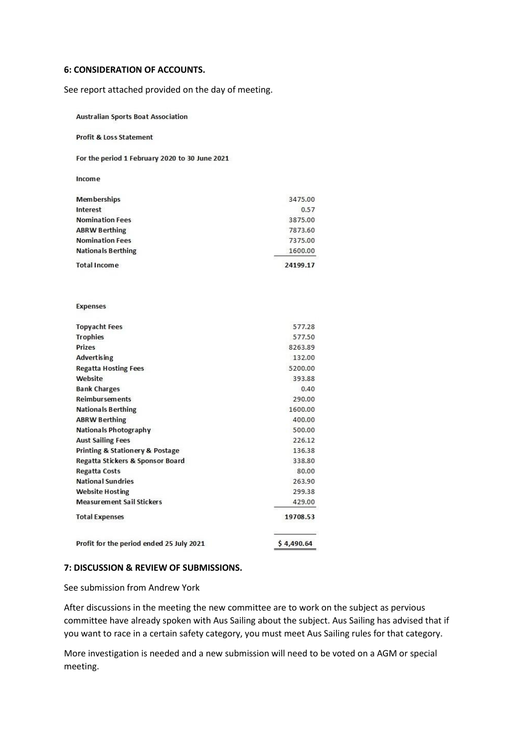#### **6: CONSIDERATION OF ACCOUNTS.**

See report attached provided on the day of meeting.

**Australian Sports Boat Association** 

#### **Profit & Loss Statement**

For the period 1 February 2020 to 30 June 2021

| P) |
|----|
|----|

| <b>Total Income</b>       | 24199.17 |
|---------------------------|----------|
| <b>Nationals Berthing</b> | 1600.00  |
| <b>Nomination Fees</b>    | 7375.00  |
| <b>ABRW Berthing</b>      | 7873.60  |
| <b>Nomination Fees</b>    | 3875.00  |
| Interest                  | 0.57     |
| <b>Memberships</b>        | 3475.00  |

#### **Expenses**

| <b>Topyacht Fees</b>                           | 577.28     |
|------------------------------------------------|------------|
| <b>Trophies</b>                                | 577.50     |
| <b>Prizes</b>                                  | 8263.89    |
| <b>Advertising</b>                             | 132.00     |
| <b>Regatta Hosting Fees</b>                    | 5200.00    |
| Website                                        | 393.88     |
| <b>Bank Charges</b>                            | 0.40       |
| <b>Reimbursements</b>                          | 290.00     |
| <b>Nationals Berthing</b>                      | 1600.00    |
| <b>ABRW Berthing</b>                           | 400.00     |
| <b>Nationals Photography</b>                   | 500.00     |
| <b>Aust Sailing Fees</b>                       | 226.12     |
| <b>Printing &amp; Stationery &amp; Postage</b> | 136.38     |
| Regatta Stickers & Sponsor Board               | 338.80     |
| Regatta Costs                                  | 80.00      |
| <b>National Sundries</b>                       | 263.90     |
| <b>Website Hosting</b>                         | 299.38     |
| <b>Measurement Sail Stickers</b>               | 429.00     |
| <b>Total Expenses</b>                          | 19708.53   |
| Profit for the period ended 25 July 2021       | \$4,490.64 |

#### **7: DISCUSSION & REVIEW OF SUBMISSIONS.**

See submission from Andrew York

After discussions in the meeting the new committee are to work on the subject as pervious committee have already spoken with Aus Sailing about the subject. Aus Sailing has advised that if you want to race in a certain safety category, you must meet Aus Sailing rules for that category.

More investigation is needed and a new submission will need to be voted on a AGM or special meeting.